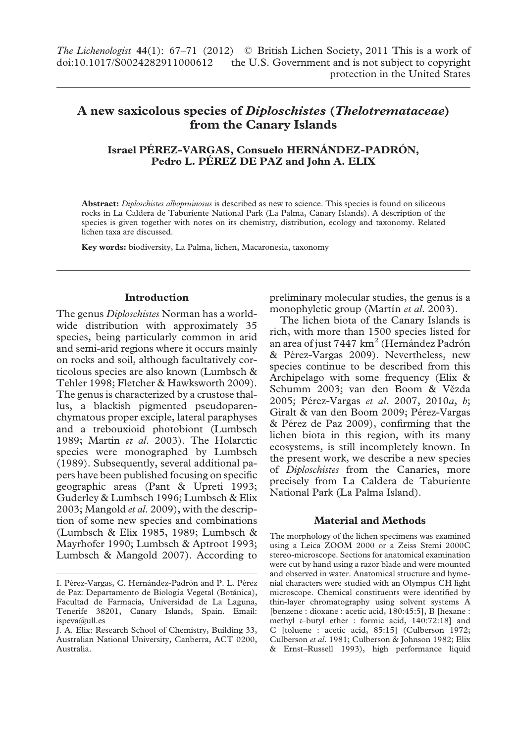# **A new saxicolous species of** *Diploschistes* **(***Thelotremataceae***) from the Canary Islands**

## **Israel PÉREZ-VARGAS, Consuelo HERNÁNDEZ-PADRÓN, Pedro L. PÉREZ DE PAZ and John A. ELIX**

**Abstract:** *Diploschistes albopruinosus* is described as new to science. This species is found on siliceous rocks in La Caldera de Taburiente National Park (La Palma, Canary Islands). A description of the species is given together with notes on its chemistry, distribution, ecology and taxonomy. Related lichen taxa are discussed.

**Key words:** biodiversity, La Palma, lichen, Macaronesia, taxonomy

#### **Introduction**

The genus *Diploschistes* Norman has a worldwide distribution with approximately 35 species, being particularly common in arid and semi-arid regions where it occurs mainly on rocks and soil, although facultatively corticolous species are also known (Lumbsch & Tehler 1998; Fletcher & Hawksworth 2009). The genus is characterized by a crustose thallus, a blackish pigmented pseudoparenchymatous proper exciple, lateral paraphyses and a trebouxioid photobiont (Lumbsch 1989; Martin *et al*. 2003). The Holarctic species were monographed by Lumbsch (1989). Subsequently, several additional papers have been published focusing on specific geographic areas (Pant & Upreti 1993; Guderley & Lumbsch 1996; Lumbsch & Elix 2003; Mangold *et al*. 2009), with the description of some new species and combinations (Lumbsch & Elix 1985, 1989; Lumbsch & Mayrhofer 1990; Lumbsch & Aptroot 1993; Lumbsch & Mangold 2007). According to preliminary molecular studies, the genus is a monophyletic group (Martín et al. 2003).

The lichen biota of the Canary Islands is rich, with more than 1500 species listed for an area of just 7447  $km^2$  (Hernández Padrón & Pérez-Vargas 2009). Nevertheless, new species continue to be described from this Archipelago with some frequency (Elix & Schumm 2003; van den Boom & Vězda 2005; Pérez-Vargas *et al*. 2007, 2010*a*, *b*; Giralt & van den Boom 2009; Pérez-Vargas & Pérez de Paz 2009), confirming that the lichen biota in this region, with its many ecosystems, is still incompletely known. In the present work, we describe a new species of *Diploschistes* from the Canaries, more precisely from La Caldera de Taburiente National Park (La Palma Island).

#### **Material and Methods**

The morphology of the lichen specimens was examined using a Leica ZOOM 2000 or a Zeiss Stemi 2000C stereo-microscope. Sections for anatomical examination were cut by hand using a razor blade and were mounted and observed in water. Anatomical structure and hymenial characters were studied with an Olympus CH light microscope. Chemical constituents were identified by thin-layer chromatography using solvent systems A [benzene : dioxane : acetic acid, 180:45:5], B [hexane : methyl *t*–butyl ether : formic acid, 140:72:18] and C [toluene : acetic acid, 85:15] (Culberson 1972; Culberson *et al*. 1981; Culberson & Johnson 1982; Elix & Ernst*–*Russell 1993), high performance liquid

I. Pérez-Vargas, C. Hernández-Padrón and P. L. Pérez de Paz: Departamento de Biología Vegetal (Botánica), Facultad de Farmacia, Universidad de La Laguna, Tenerife 38201, Canary Islands, Spain. Email: ispeva@ull.es

J. A. Elix: Research School of Chemistry, Building 33, Australian National University, Canberra, ACT 0200, Australia.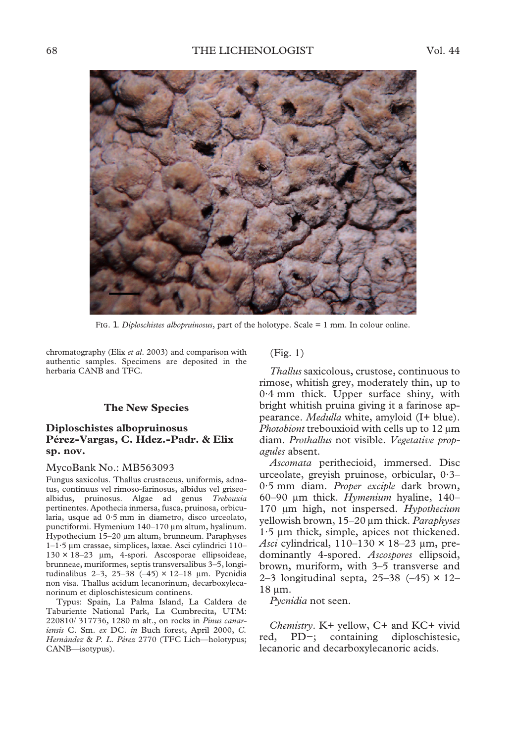

F. 1. *Diploschistes albopruinosus*, part of the holotype. Scale = 1 mm. In colour online.

chromatography (Elix *et al*. 2003) and comparison with authentic samples. Specimens are deposited in the herbaria CANB and TFC.

#### **The New Species**

### **Diploschistes albopruinosus Pérez-Vargas, C. Hdez.-Padr. & Elix sp. nov.**

#### MycoBank No.: MB563093

Fungus saxicolus. Thallus crustaceus, uniformis, adnatus, continuus vel rimoso-farinosus, albidus vel griseoalbidus, pruinosus. Algae ad genus *Trebouxia* pertinentes. Apothecia inmersa, fusca, pruinosa, orbicularia, usque ad 0·5 mm in diametro, disco urceolato, punctiformi. Hymenium 140–170 µm altum, hyalinum. Hypothecium 15-20 µm altum, brunneum. Paraphyses 1-1·5 µm crassae, simplices, laxae. Asci cylindrici 110-130 × 18–23 m, 4-spori. Ascosporae ellipsoideae, brunneae, muriformes, septis transversalibus 3–5, longitudinalibus 2–3, 25–38 (–45) × 12–18  $\mu$ m. Pycnidia non visa. Thallus acidum lecanorinum, decarboxylecanorinum et diploschistesicum continens.

Typus: Spain, La Palma Island, La Caldera de Taburiente National Park, La Cumbrecita, UTM: 220810/ 317736, 1280 m alt., on rocks in *Pinus canariensis* C. Sm. *ex* DC. *in* Buch forest, April 2000, *C. Hernández* & *P. L. Pérez* 2770 (TFC Lich—holotypus; CANB—isotypus).

(Fig. 1)

*Thallus* saxicolous, crustose, continuous to rimose, whitish grey, moderately thin, up to 0·4 mm thick. Upper surface shiny, with bright whitish pruina giving it a farinose appearance. *Medulla* white, amyloid (I+ blue). *Photobiont* trebouxioid with cells up to 12  $\mu$ m diam. *Prothallus* not visible. *Vegetative propagules* absent.

*Ascomata* perithecioid, immersed. Disc urceolate, greyish pruinose, orbicular, 0·3– 0·5 mm diam. *Proper exciple* dark brown, 60–90 m thick. *Hymenium* hyaline, 140– 170 m high, not inspersed. *Hypothecium* yellowish brown, 15–20 m thick. *Paraphyses*  $1.5 \mu m$  thick, simple, apices not thickened. *Asci* cylindrical,  $110-130 \times 18-23$  µm, predominantly 4-spored. *Ascospores* ellipsoid, brown, muriform, with 3–5 transverse and 2–3 longitudinal septa, 25–38  $(-45) \times 12$ – 18 μm.

*Pycnidia* not seen.

*Chemistry*. K+ yellow, C+ and KC+ vivid red, PD−; containing diploschistesic, lecanoric and decarboxylecanoric acids.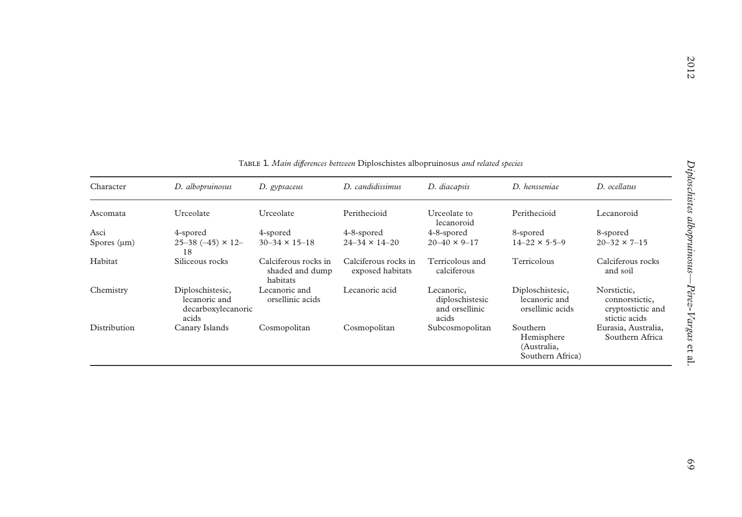| Character        | D. albopruinosus                                                 | D. gypsaceus                                        | D. candidissimus                         | D. diacapsis                                             | D. hensseniae                                             | D. ocellatus                                                        |
|------------------|------------------------------------------------------------------|-----------------------------------------------------|------------------------------------------|----------------------------------------------------------|-----------------------------------------------------------|---------------------------------------------------------------------|
| Ascomata         | Urceolate                                                        | Urceolate                                           | Perithecioid                             | Urceolate to<br>lecanoroid                               | Perithecioid                                              | Lecanoroid                                                          |
| Asci             | 4-spored                                                         | 4-spored                                            | 4-8-spored                               | 4-8-spored                                               | 8-spored                                                  | 8-spored                                                            |
| Spores $(\mu m)$ | 25-38 (-45) $\times$ 12-<br>18                                   | $30-34 \times 15-18$                                | $24 - 34 \times 14 - 20$                 | $20 - 40 \times 9 - 17$                                  | $14 - 22 \times 5.5 - 9$                                  | $20 - 32 \times 7 - 15$                                             |
| Habitat          | Siliceous rocks                                                  | Calciferous rocks in<br>shaded and dump<br>habitats | Calciferous rocks in<br>exposed habitats | Terricolous and<br>calciferous                           | Terricolous                                               | Calciferous rocks<br>and soil                                       |
| Chemistry        | Diploschistesic,<br>lecanoric and<br>decarboxylecanoric<br>acids | Lecanoric and<br>orsellinic acids                   | Lecanoric acid                           | Lecanoric,<br>diploschistesic<br>and orsellinic<br>acids | Diploschistesic,<br>lecanoric and<br>orsellinic acids     | Norstictic,<br>connorstictic,<br>cryptostictic and<br>stictic acids |
| Distribution     | Canary Islands                                                   | Cosmopolitan                                        | Cosmopolitan                             | Subcosmopolitan                                          | Southern<br>Hemisphere<br>(Australia,<br>Southern Africa) | Eurasia, Australia,<br>Southern Africa                              |

T 1. *Main differences between* Diploschistes albopruinosus *and related species*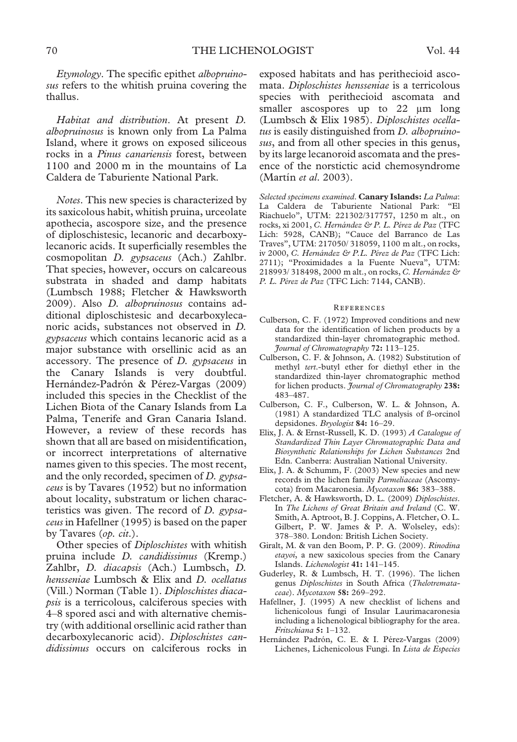*Etymology*. The specific epithet *albopruinosus* refers to the whitish pruina covering the thallus.

*Habitat and distribution*. At present *D. albopruinosus* is known only from La Palma Island, where it grows on exposed siliceous rocks in a *Pinus canariensis* forest, between 1100 and 2000 m in the mountains of La Caldera de Taburiente National Park.

*Notes*. This new species is characterized by its saxicolous habit, whitish pruina, urceolate apothecia, ascospore size, and the presence of diploschistesic, lecanoric and decarboxylecanoric acids. It superficially resembles the cosmopolitan *D. gypsaceus* (Ach.) Zahlbr. That species, however, occurs on calcareous substrata in shaded and damp habitats (Lumbsch 1988; Fletcher & Hawksworth 2009). Also *D. albopruinosus* contains additional diploschistesic and decarboxylecanoric acids, substances not observed in *D. gypsaceus* which contains lecanoric acid as a major substance with orsellinic acid as an accessory. The presence of *D. gypsaceus* in the Canary Islands is very doubtful. Hernández-Padrón & Pérez-Vargas (2009) included this species in the Checklist of the Lichen Biota of the Canary Islands from La Palma, Tenerife and Gran Canaria Island. However, a review of these records has shown that all are based on misidentification, or incorrect interpretations of alternative names given to this species. The most recent, and the only recorded, specimen of *D. gypsaceus* is by Tavares (1952) but no information about locality, substratum or lichen characteristics was given. The record of *D. gypsaceus* in Hafellner (1995) is based on the paper by Tavares (*op. cit*.).

Other species of *Diploschistes* with whitish pruina include *D. candidissimus* (Kremp.) Zahlbr, *D. diacapsis* (Ach.) Lumbsch, *D. hensseniae* Lumbsch & Elix and *D. ocellatus* (Vill.) Norman (Table 1). *Diploschistes diacapsis* is a terricolous, calciferous species with 4–8 spored asci and with alternative chemistry (with additional orsellinic acid rather than decarboxylecanoric acid). *Diploschistes candidissimus* occurs on calciferous rocks in

exposed habitats and has perithecioid ascomata. *Diploschistes hensseniae* is a terricolous species with perithecioid ascomata and smaller ascospores up to 22 µm long (Lumbsch & Elix 1985). *Diploschistes ocellatus* is easily distinguished from *D. albopruinosus*, and from all other species in this genus, by its large lecanoroid ascomata and the presence of the norstictic acid chemosyndrome (Martín *et al.* 2003).

*Selected specimens examined*. **Canary Islands:** *La Palma*: La Caldera de Taburiente National Park: "El Riachuelo", UTM: 221302/317757, 1250 m alt., on rocks, xi 2001, *C. Hernández & P. L. Pérez de Paz* (TFC Lich: 5928, CANB); "Cauce del Barranco de Las Traves", UTM: 217050/ 318059, 1100 m alt., on rocks, iv 2000, *C. Hernández & P.L. Pérez de Paz* (TFC Lich: 2711); "Proximidades a la Fuente Nueva", UTM: 218993/ 318498, 2000 m alt., on rocks, *C. Hernández & P. L. Pérez de Paz* (TFC Lich: 7144, CANB).

#### **REFERENCES**

- Culberson, C. F. (1972) Improved conditions and new data for the identification of lichen products by a standardized thin-layer chromatographic method. *Journal of Chromatography* **72:** 113–125.
- Culberson, C. F. & Johnson, A. (1982) Substitution of methyl *tert*.-butyl ether for diethyl ether in the standardized thin-layer chromatographic method for lichen products. *Journal of Chromatography* **238:** 483–487.
- Culberson, C. F., Culberson, W. L. & Johnson, A. (1981) A standardized TLC analysis of ß-orcinol depsidones. *Bryologist* **84:** 16–29.
- Elix, J. A. & Ernst-Russell, K. D. (1993) *A Catalogue of Standardized Thin Layer Chromatographic Data and Biosynthetic Relationships for Lichen Substances* 2nd Edn. Canberra: Australian National University.
- Elix, J. A. & Schumm, F. (2003) New species and new records in the lichen family *Parmeliaceae* (Ascomycota) from Macaronesia. *Mycotaxon* **86:** 383–388.
- Fletcher, A. & Hawksworth, D. L. (2009) *Diploschistes*. In *The Lichens of Great Britain and Ireland* (C. W. Smith, A. Aptroot, B. J. Coppins, A. Fletcher, O. L. Gilbert, P. W. James & P. A. Wolseley, eds): 378–380. London: British Lichen Society.
- Giralt, M. & van den Boom, P. P. G. (2009). *Rinodina etayoi*, a new saxicolous species from the Canary Islands. *Lichenologist* **41:** 141–145.
- Guderley, R. & Lumbsch, H. T. (1996). The lichen genus *Diploschistes* in South Africa (*Thelotremataceae*). *Mycotaxon* **58:** 269–292.
- Hafellner, J. (1995) A new checklist of lichens and lichenicolous fungi of Insular Laurimacaronesia including a lichenological bibliography for the area. *Fritschiana* **5:** 1–132.
- Hernández Padrón, C. E. & I. Pérez-Vargas (2009) Lichenes, Lichenicolous Fungi. In *Lista de Especies*